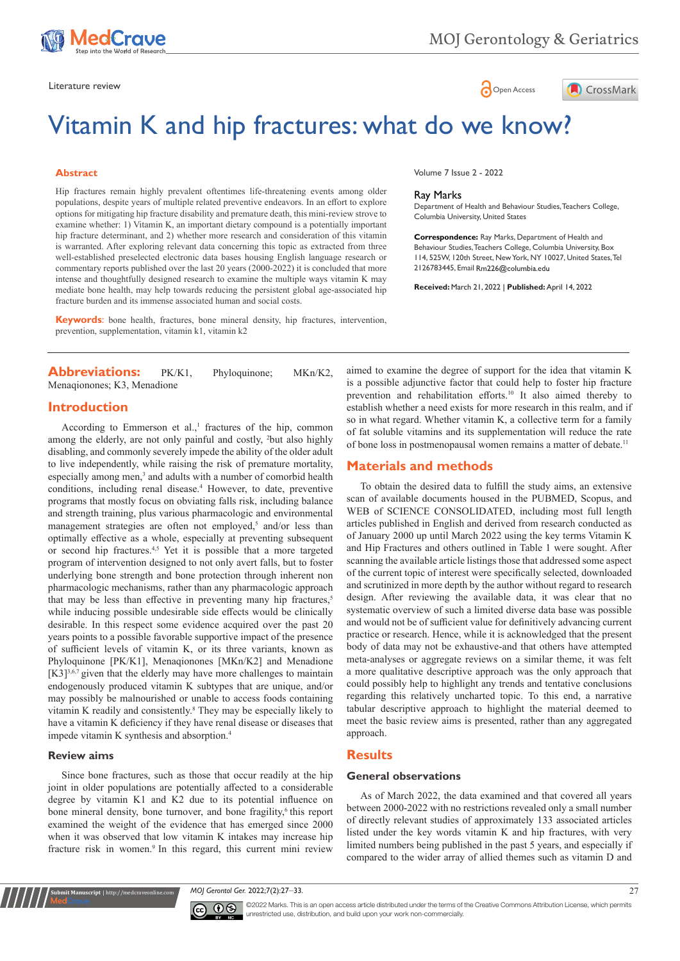



# Vitamin K and hip fractures: what do we know?

### **Abstract**

Hip fractures remain highly prevalent oftentimes life-threatening events among older populations, despite years of multiple related preventive endeavors. In an effort to explore options for mitigating hip fracture disability and premature death, this mini-review strove to examine whether: 1) Vitamin K, an important dietary compound is a potentially important hip fracture determinant, and 2) whether more research and consideration of this vitamin is warranted. After exploring relevant data concerning this topic as extracted from three well-established preselected electronic data bases housing English language research or commentary reports published over the last 20 years (2000-2022) it is concluded that more intense and thoughtfully designed research to examine the multiple ways vitamin K may mediate bone health, may help towards reducing the persistent global age-associated hip fracture burden and its immense associated human and social costs.

**Keywords**: bone health, fractures, bone mineral density, hip fractures, intervention, prevention, supplementation, vitamin k1, vitamin k2

**Abbreviations:** PK/K1, Phyloquinone; MKn/K2, Menaqionones; K3, Menadione

# **Introduction**

According to Emmerson et al.,<sup>1</sup> fractures of the hip, common among the elderly, are not only painful and costly, <sup>2</sup>but also highly disabling, and commonly severely impede the ability of the older adult to live independently, while raising the risk of premature mortality, especially among men,<sup>3</sup> and adults with a number of comorbid health conditions, including renal disease.<sup>4</sup> However, to date, preventive programs that mostly focus on obviating falls risk, including balance and strength training, plus various pharmacologic and environmental management strategies are often not employed,<sup>5</sup> and/or less than optimally effective as a whole, especially at preventing subsequent or second hip fractures.4,5 Yet it is possible that a more targeted program of intervention designed to not only avert falls, but to foster underlying bone strength and bone protection through inherent non pharmacologic mechanisms, rather than any pharmacologic approach that may be less than effective in preventing many hip fractures,<sup>5</sup> while inducing possible undesirable side effects would be clinically desirable. In this respect some evidence acquired over the past 20 years points to a possible favorable supportive impact of the presence of sufficient levels of vitamin K, or its three variants, known as Phyloquinone [PK/K1], Menaqionones [MKn/K2] and Menadione  $[K3]^{3,6,7}$  given that the elderly may have more challenges to maintain endogenously produced vitamin K subtypes that are unique, and/or may possibly be malnourished or unable to access foods containing vitamin K readily and consistently.8 They may be especially likely to have a vitamin K deficiency if they have renal disease or diseases that impede vitamin K synthesis and absorption.4

#### **Review aims**

**nit Manuscript** | http://medcraveonline.c

Since bone fractures, such as those that occur readily at the hip joint in older populations are potentially affected to a considerable degree by vitamin K1 and K2 due to its potential influence on bone mineral density, bone turnover, and bone fragility,<sup>6</sup> this report examined the weight of the evidence that has emerged since 2000 when it was observed that low vitamin K intakes may increase hip fracture risk in women.<sup>9</sup> In this regard, this current mini review

Volume 7 Issue 2 - 2022

#### Ray Marks

Department of Health and Behaviour Studies, Teachers College, Columbia University, United States

**Correspondence:** Ray Marks, Department of Health and Behaviour Studies, Teachers College, Columbia University, Box 114, 525W, 120th Street, New York, NY 10027, United States, Tel 2126783445, Email Rm226@columbia.edu

**Received:** March 21, 2022 | **Published:** April 14, 2022

aimed to examine the degree of support for the idea that vitamin K is a possible adjunctive factor that could help to foster hip fracture prevention and rehabilitation efforts.<sup>10</sup> It also aimed thereby to establish whether a need exists for more research in this realm, and if so in what regard. Whether vitamin K, a collective term for a family of fat soluble vitamins and its supplementation will reduce the rate of bone loss in postmenopausal women remains a matter of debate.<sup>11</sup>

# **Materials and methods**

To obtain the desired data to fulfill the study aims, an extensive scan of available documents housed in the PUBMED, Scopus, and WEB of SCIENCE CONSOLIDATED, including most full length articles published in English and derived from research conducted as of January 2000 up until March 2022 using the key terms Vitamin K and Hip Fractures and others outlined in Table 1 were sought. After scanning the available article listings those that addressed some aspect of the current topic of interest were specifically selected, downloaded and scrutinized in more depth by the author without regard to research design. After reviewing the available data, it was clear that no systematic overview of such a limited diverse data base was possible and would not be of sufficient value for definitively advancing current practice or research. Hence, while it is acknowledged that the present body of data may not be exhaustive-and that others have attempted meta-analyses or aggregate reviews on a similar theme, it was felt a more qualitative descriptive approach was the only approach that could possibly help to highlight any trends and tentative conclusions regarding this relatively uncharted topic. To this end, a narrative tabular descriptive approach to highlight the material deemed to meet the basic review aims is presented, rather than any aggregated approach.

# **Results**

## **General observations**

As of March 2022, the data examined and that covered all years between 2000-2022 with no restrictions revealed only a small number of directly relevant studies of approximately 133 associated articles listed under the key words vitamin K and hip fractures, with very limited numbers being published in the past 5 years, and especially if compared to the wider array of allied themes such as vitamin D and

*MOJ Gerontol Ger.* 2022;7(2):27‒33. 27



©2022 Marks. This is an open access article distributed under the terms of the Creative Commons Attribution License, which permits unrestricted use, distribution, and build upon your work non-commercially.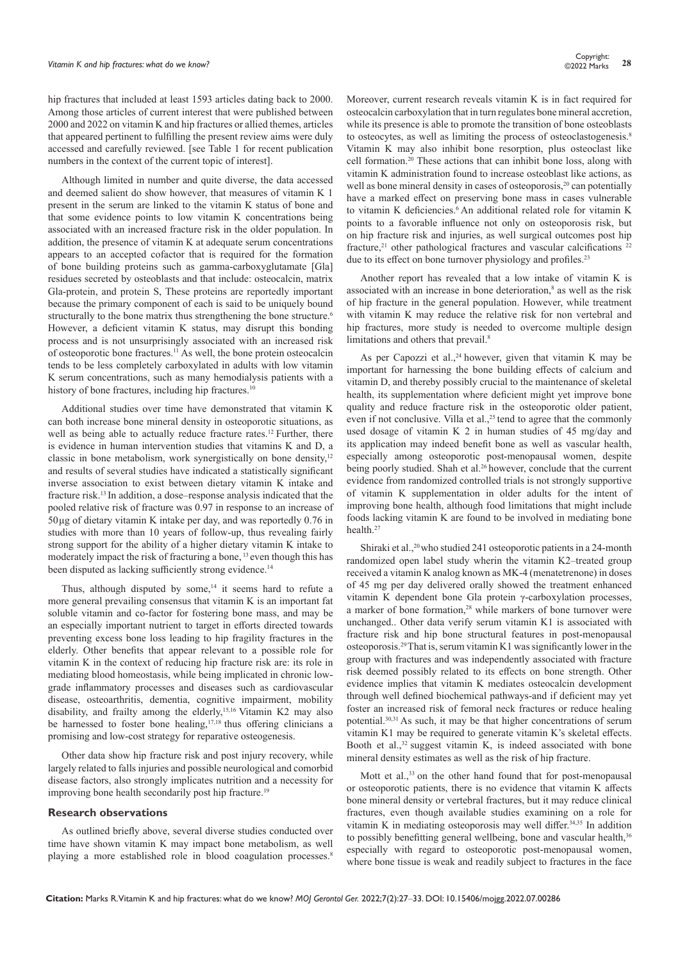hip fractures that included at least 1593 articles dating back to 2000. Among those articles of current interest that were published between 2000 and 2022 on vitamin K and hip fractures or allied themes, articles that appeared pertinent to fulfilling the present review aims were duly accessed and carefully reviewed. [see Table 1 for recent publication numbers in the context of the current topic of interest].

Although limited in number and quite diverse, the data accessed and deemed salient do show however, that measures of vitamin K 1 present in the serum are linked to the vitamin K status of bone and that some evidence points to low vitamin K concentrations being associated with an increased fracture risk in the older population. In addition, the presence of vitamin K at adequate serum concentrations appears to an accepted cofactor that is required for the formation of bone building proteins such as gamma-carboxyglutamate [Gla] residues secreted by osteoblasts and that include: osteocalcin, matrix Gla-protein, and protein S, These proteins are reportedly important because the primary component of each is said to be uniquely bound structurally to the bone matrix thus strengthening the bone structure.<sup>6</sup> However, a deficient vitamin K status, may disrupt this bonding process and is not unsurprisingly associated with an increased risk of osteoporotic bone fractures.11 As well, the bone protein osteocalcin tends to be less completely carboxylated in adults with low vitamin K serum concentrations, such as many hemodialysis patients with a history of bone fractures, including hip fractures.<sup>10</sup>

Additional studies over time have demonstrated that vitamin K can both increase bone mineral density in osteoporotic situations, as well as being able to actually reduce fracture rates.<sup>12</sup> Further, there is evidence in human intervention studies that vitamins K and D, a classic in bone metabolism, work synergistically on bone density,<sup>12</sup> and results of several studies have indicated a statistically significant inverse association to exist between dietary vitamin K intake and fracture risk.13 In addition, a dose–response analysis indicated that the pooled relative risk of fracture was 0.97 in response to an increase of 50 μg of dietary vitamin K intake per day, and was reportedly 0.76 in studies with more than 10 years of follow-up, thus revealing fairly strong support for the ability of a higher dietary vitamin K intake to moderately impact the risk of fracturing a bone, 13 even though this has been disputed as lacking sufficiently strong evidence.<sup>14</sup>

Thus, although disputed by some, $14$  it seems hard to refute a more general prevailing consensus that vitamin K is an important fat soluble vitamin and co-factor for fostering bone mass, and may be an especially important nutrient to target in efforts directed towards preventing excess bone loss leading to hip fragility fractures in the elderly. Other benefits that appear relevant to a possible role for vitamin K in the context of reducing hip fracture risk are: its role in mediating blood homeostasis, while being implicated in chronic lowgrade inflammatory processes and diseases such as cardiovascular disease, osteoarthritis, dementia, cognitive impairment, mobility disability, and frailty among the elderly,<sup>15,16</sup> Vitamin K2 may also be harnessed to foster bone healing, $17,18$  thus offering clinicians a promising and low-cost strategy for reparative osteogenesis.

Other data show hip fracture risk and post injury recovery, while largely related to falls injuries and possible neurological and comorbid disease factors, also strongly implicates nutrition and a necessity for improving bone health secondarily post hip fracture.<sup>19</sup>

#### **Research observations**

As outlined briefly above, several diverse studies conducted over time have shown vitamin K may impact bone metabolism, as well playing a more established role in blood coagulation processes.<sup>8</sup>

Moreover, current research reveals vitamin K is in fact required for osteocalcin carboxylation that in turn regulates bone mineral accretion, while its presence is able to promote the transition of bone osteoblasts to osteocytes, as well as limiting the process of osteoclastogenesis.<sup>8</sup> Vitamin K may also inhibit bone resorption, plus osteoclast like cell formation.20 These actions that can inhibit bone loss, along with vitamin K administration found to increase osteoblast like actions, as well as bone mineral density in cases of osteoporosis, $20$  can potentially have a marked effect on preserving bone mass in cases vulnerable to vitamin K deficiencies.<sup>6</sup> An additional related role for vitamin K points to a favorable influence not only on osteoporosis risk, but on hip fracture risk and injuries, as well surgical outcomes post hip fracture,<sup>21</sup> other pathological fractures and vascular calcifications  $22$ due to its effect on bone turnover physiology and profiles.<sup>23</sup>

Another report has revealed that a low intake of vitamin K is associated with an increase in bone deterioration,<sup>8</sup> as well as the risk of hip fracture in the general population. However, while treatment with vitamin K may reduce the relative risk for non vertebral and hip fractures, more study is needed to overcome multiple design limitations and others that prevail.<sup>8</sup>

As per Capozzi et al., $24$  however, given that vitamin K may be important for harnessing the bone building effects of calcium and vitamin D, and thereby possibly crucial to the maintenance of skeletal health, its supplementation where deficient might yet improve bone quality and reduce fracture risk in the osteoporotic older patient, even if not conclusive. Villa et al., $2<sup>5</sup>$  tend to agree that the commonly used dosage of vitamin K 2 in human studies of 45 mg/day and its application may indeed benefit bone as well as vascular health, especially among osteoporotic post-menopausal women, despite being poorly studied. Shah et al.<sup>26</sup> however, conclude that the current evidence from randomized controlled trials is not strongly supportive of vitamin K supplementation in older adults for the intent of improving bone health, although food limitations that might include foods lacking vitamin K are found to be involved in mediating bone health.27

Shiraki et al.,<sup>20</sup> who studied 241 osteoporotic patients in a 24-month randomized open label study wherin the vitamin K2–treated group received a vitamin K analog known as MK-4 (menatetrenone) in doses of 45 mg per day delivered orally showed the treatment enhanced vitamin K dependent bone Gla protein γ-carboxylation processes, a marker of bone formation,<sup>28</sup> while markers of bone turnover were unchanged.. Other data verify serum vitamin K1 is associated with fracture risk and hip bone structural features in post-menopausal osteoporosis.29 That is, serum vitamin K1 was significantly lower in the group with fractures and was independently associated with fracture risk deemed possibly related to its effects on bone strength. Other evidence implies that vitamin K mediates osteocalcin development through well defined biochemical pathways-and if deficient may yet foster an increased risk of femoral neck fractures or reduce healing potential.30,31 As such, it may be that higher concentrations of serum vitamin K1 may be required to generate vitamin K's skeletal effects. Booth et al., $32$  suggest vitamin K, is indeed associated with bone mineral density estimates as well as the risk of hip fracture.

Mott et al.,<sup>33</sup> on the other hand found that for post-menopausal or osteoporotic patients, there is no evidence that vitamin K affects bone mineral density or vertebral fractures, but it may reduce clinical fractures, even though available studies examining on a role for vitamin K in mediating osteoporosis may well differ.<sup>34,35</sup> In addition to possibly benefitting general wellbeing, bone and vascular health,<sup>36</sup> especially with regard to osteoporotic post-menopausal women, where bone tissue is weak and readily subject to fractures in the face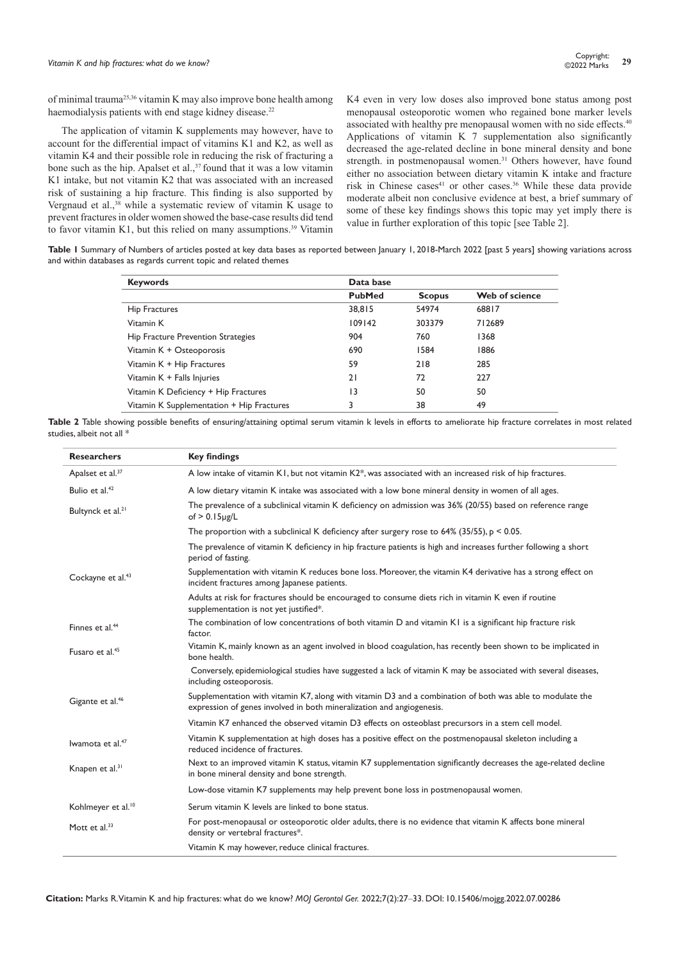of minimal trauma25,36 vitamin K may also improve bone health among haemodialysis patients with end stage kidney disease.<sup>22</sup>

The application of vitamin K supplements may however, have to account for the differential impact of vitamins K1 and K2, as well as vitamin K4 and their possible role in reducing the risk of fracturing a bone such as the hip. Apalset et al.,<sup>37</sup> found that it was a low vitamin K1 intake, but not vitamin K2 that was associated with an increased risk of sustaining a hip fracture. This finding is also supported by Vergnaud et al.,<sup>38</sup> while a systematic review of vitamin K usage to prevent fractures in older women showed the base-case results did tend to favor vitamin K1, but this relied on many assumptions.<sup>39</sup> Vitamin

K4 even in very low doses also improved bone status among post menopausal osteoporotic women who regained bone marker levels associated with healthy pre menopausal women with no side effects.<sup>40</sup> Applications of vitamin K 7 supplementation also significantly decreased the age-related decline in bone mineral density and bone strength. in postmenopausal women.<sup>31</sup> Others however, have found either no association between dietary vitamin K intake and fracture risk in Chinese cases<sup>41</sup> or other cases.<sup>36</sup> While these data provide moderate albeit non conclusive evidence at best, a brief summary of some of these key findings shows this topic may yet imply there is value in further exploration of this topic [see Table 2].

**Table 1** Summary of Numbers of articles posted at key data bases as reported between January 1, 2018-March 2022 [past 5 years] showing variations across and within databases as regards current topic and related themes

| <b>Keywords</b>                           | Data base     |               |                |
|-------------------------------------------|---------------|---------------|----------------|
|                                           | <b>PubMed</b> | <b>Scopus</b> | Web of science |
| Hip Fractures                             | 38,815        | 54974         | 68817          |
| Vitamin K                                 | 109142        | 303379        | 712689         |
| Hip Fracture Prevention Strategies        | 904           | 760           | 1368           |
| Vitamin K + Osteoporosis                  | 690           | 1584          | 1886           |
| Vitamin K + Hip Fractures                 | 59            | 218           | 285            |
| Vitamin K + Falls Injuries                | 21            | 72            | 227            |
| Vitamin K Deficiency + Hip Fractures      | 13            | 50            | 50             |
| Vitamin K Supplementation + Hip Fractures | 3             | 38            | 49             |

**Table 2** Table showing possible benefits of ensuring/attaining optimal serum vitamin k levels in efforts to ameliorate hip fracture correlates in most related studies, albeit not all \*

| <b>Researchers</b>             | <b>Key findings</b>                                                                                                                                                                |
|--------------------------------|------------------------------------------------------------------------------------------------------------------------------------------------------------------------------------|
| Apalset et al. <sup>37</sup>   | A low intake of vitamin K1, but not vitamin K2*, was associated with an increased risk of hip fractures.                                                                           |
| Bulio et al. <sup>42</sup>     | A low dietary vitamin K intake was associated with a low bone mineral density in women of all ages.                                                                                |
| Bultynck et al. <sup>21</sup>  | The prevalence of a subclinical vitamin K deficiency on admission was 36% (20/55) based on reference range<br>of $> 0.15$ µg/L                                                     |
|                                | The proportion with a subclinical K deficiency after surgery rose to 64% (35/55), $p < 0.05$ .                                                                                     |
|                                | The prevalence of vitamin K deficiency in hip fracture patients is high and increases further following a short<br>period of fasting.                                              |
| Cockayne et al. <sup>43</sup>  | Supplementation with vitamin K reduces bone loss. Moreover, the vitamin K4 derivative has a strong effect on<br>incident fractures among lapanese patients.                        |
|                                | Adults at risk for fractures should be encouraged to consume diets rich in vitamin K even if routine<br>supplementation is not yet justified*.                                     |
| Finnes et al. <sup>44</sup>    | The combination of low concentrations of both vitamin D and vitamin K1 is a significant hip fracture risk<br>factor.                                                               |
| Fusaro et al. <sup>45</sup>    | Vitamin K, mainly known as an agent involved in blood coagulation, has recently been shown to be implicated in<br>bone health.                                                     |
|                                | Conversely, epidemiological studies have suggested a lack of vitamin K may be associated with several diseases,<br>including osteoporosis.                                         |
| Gigante et al. <sup>46</sup>   | Supplementation with vitamin K7, along with vitamin D3 and a combination of both was able to modulate the<br>expression of genes involved in both mineralization and angiogenesis. |
|                                | Vitamin K7 enhanced the observed vitamin D3 effects on osteoblast precursors in a stem cell model.                                                                                 |
| Iwamota et al. <sup>47</sup>   | Vitamin K supplementation at high doses has a positive effect on the postmenopausal skeleton including a<br>reduced incidence of fractures.                                        |
| Knapen et al. <sup>31</sup>    | Next to an improved vitamin K status, vitamin K7 supplementation significantly decreases the age-related decline<br>in bone mineral density and bone strength.                     |
|                                | Low-dose vitamin K7 supplements may help prevent bone loss in postmenopausal women.                                                                                                |
| Kohlmeyer et al. <sup>10</sup> | Serum vitamin K levels are linked to bone status.                                                                                                                                  |
| Mott et al. <sup>33</sup>      | For post-menopausal or osteoporotic older adults, there is no evidence that vitamin K affects bone mineral<br>density or vertebral fractures*.                                     |
|                                | Vitamin K may however, reduce clinical fractures.                                                                                                                                  |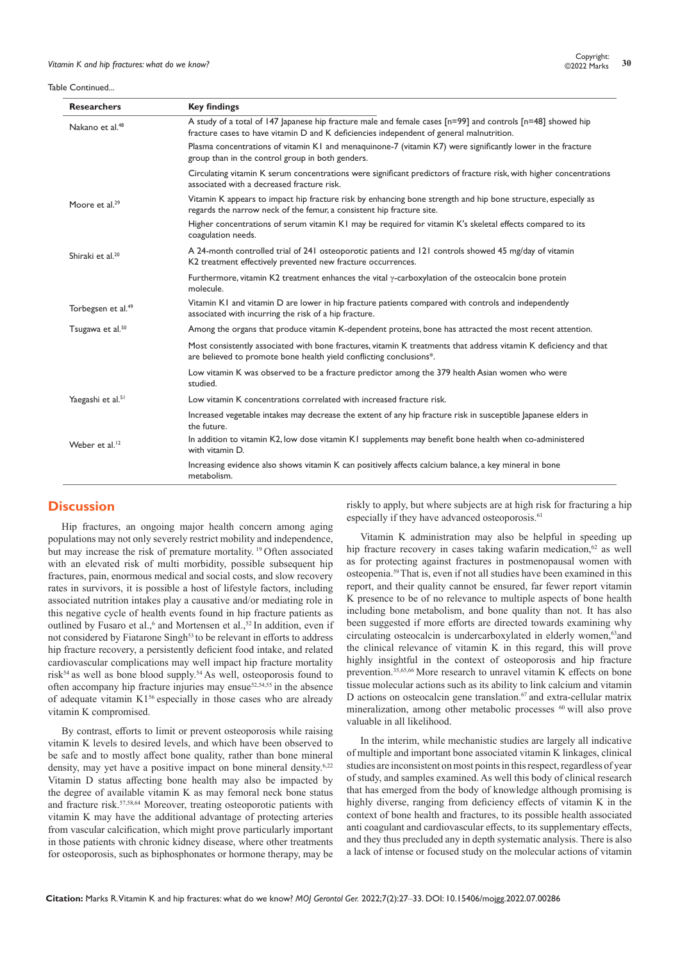#### Table Continued...

| <b>Researchers</b>             | <b>Key findings</b>                                                                                                                                                                                     |
|--------------------------------|---------------------------------------------------------------------------------------------------------------------------------------------------------------------------------------------------------|
| Nakano et al. <sup>48</sup>    | A study of a total of 147 Japanese hip fracture male and female cases [n=99] and controls [n=48] showed hip<br>fracture cases to have vitamin D and K deficiencies independent of general malnutrition. |
|                                | Plasma concentrations of vitamin K1 and menaquinone-7 (vitamin K7) were significantly lower in the fracture<br>group than in the control group in both genders.                                         |
|                                | Circulating vitamin K serum concentrations were significant predictors of fracture risk, with higher concentrations<br>associated with a decreased fracture risk.                                       |
| Moore et al. <sup>29</sup>     | Vitamin K appears to impact hip fracture risk by enhancing bone strength and hip bone structure, especially as<br>regards the narrow neck of the femur, a consistent hip fracture site.                 |
|                                | Higher concentrations of serum vitamin K1 may be required for vitamin K's skeletal effects compared to its<br>coagulation needs.                                                                        |
| Shiraki et al. <sup>20</sup>   | A 24-month controlled trial of 241 osteoporotic patients and 121 controls showed 45 mg/day of vitamin<br>K2 treatment effectively prevented new fracture occurrences.                                   |
|                                | Furthermore, vitamin K2 treatment enhances the vital $\gamma$ -carboxylation of the osteocalcin bone protein<br>molecule.                                                                               |
| Torbegsen et al. <sup>49</sup> | Vitamin KI and vitamin D are lower in hip fracture patients compared with controls and independently<br>associated with incurring the risk of a hip fracture.                                           |
| Tsugawa et al. <sup>50</sup>   | Among the organs that produce vitamin K-dependent proteins, bone has attracted the most recent attention.                                                                                               |
|                                | Most consistently associated with bone fractures, vitamin K treatments that address vitamin K deficiency and that<br>are believed to promote bone health yield conflicting conclusions*.                |
|                                | Low vitamin K was observed to be a fracture predictor among the 379 health Asian women who were<br>studied.                                                                                             |
| Yaegashi et al. <sup>51</sup>  | Low vitamin K concentrations correlated with increased fracture risk.                                                                                                                                   |
|                                | Increased vegetable intakes may decrease the extent of any hip fracture risk in susceptible lapanese elders in<br>the future.                                                                           |
| Weber et al. <sup>12</sup>     | In addition to vitamin K2, low dose vitamin K1 supplements may benefit bone health when co-administered<br>with vitamin D.                                                                              |
|                                | Increasing evidence also shows vitamin K can positively affects calcium balance, a key mineral in bone<br>metabolism.                                                                                   |

# **Discussion**

Hip fractures, an ongoing major health concern among aging populations may not only severely restrict mobility and independence, but may increase the risk of premature mortality.<sup>19</sup> Often associated with an elevated risk of multi morbidity, possible subsequent hip fractures, pain, enormous medical and social costs, and slow recovery rates in survivors, it is possible a host of lifestyle factors, including associated nutrition intakes play a causative and/or mediating role in this negative cycle of health events found in hip fracture patients as outlined by Fusaro et al.,<sup>6</sup> and Mortensen et al.,<sup>52</sup> In addition, even if not considered by Fiatarone Singh<sup>53</sup> to be relevant in efforts to address hip fracture recovery, a persistently deficient food intake, and related cardiovascular complications may well impact hip fracture mortality  $risk^{54}$  as well as bone blood supply.<sup>54</sup> As well, osteoporosis found to often accompany hip fracture injuries may ensue<sup>52,54,55</sup> in the absence of adequate vitamin K156 especially in those cases who are already vitamin K compromised.

By contrast, efforts to limit or prevent osteoporosis while raising vitamin K levels to desired levels, and which have been observed to be safe and to mostly affect bone quality, rather than bone mineral density, may yet have a positive impact on bone mineral density.<sup>6,22</sup> Vitamin D status affecting bone health may also be impacted by the degree of available vitamin K as may femoral neck bone status and fracture risk.<sup>57,58,64</sup> Moreover, treating osteoporotic patients with vitamin K may have the additional advantage of protecting arteries from vascular calcification, which might prove particularly important in those patients with chronic kidney disease, where other treatments for osteoporosis, such as biphosphonates or hormone therapy, may be riskly to apply, but where subjects are at high risk for fracturing a hip especially if they have advanced osteoporosis.<sup>61</sup>

Vitamin K administration may also be helpful in speeding up hip fracture recovery in cases taking wafarin medication, $62$  as well as for protecting against fractures in postmenopausal women with osteopenia.59 That is, even if not all studies have been examined in this report, and their quality cannot be ensured, far fewer report vitamin K presence to be of no relevance to multiple aspects of bone health including bone metabolism, and bone quality than not. It has also been suggested if more efforts are directed towards examining why circulating osteocalcin is undercarboxylated in elderly women,<sup>63</sup>and the clinical relevance of vitamin K in this regard, this will prove highly insightful in the context of osteoporosis and hip fracture prevention.35,65,66 More research to unravel vitamin K effects on bone tissue molecular actions such as its ability to link calcium and vitamin D actions on osteocalcin gene translation.<sup>67</sup> and extra-cellular matrix mineralization, among other metabolic processes <sup>60</sup> will also prove valuable in all likelihood.

In the interim, while mechanistic studies are largely all indicative of multiple and important bone associated vitamin K linkages, clinical studies are inconsistent on most points in this respect, regardless of year of study, and samples examined. As well this body of clinical research that has emerged from the body of knowledge although promising is highly diverse, ranging from deficiency effects of vitamin K in the context of bone health and fractures, to its possible health associated anti coagulant and cardiovascular effects, to its supplementary effects, and they thus precluded any in depth systematic analysis. There is also a lack of intense or focused study on the molecular actions of vitamin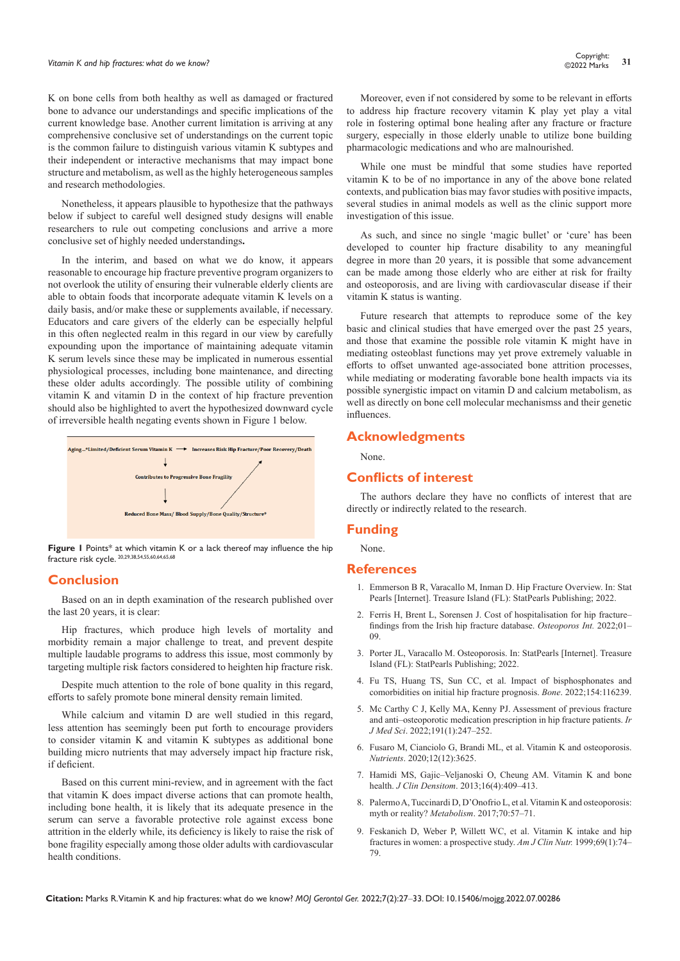K on bone cells from both healthy as well as damaged or fractured bone to advance our understandings and specific implications of the current knowledge base. Another current limitation is arriving at any comprehensive conclusive set of understandings on the current topic is the common failure to distinguish various vitamin K subtypes and their independent or interactive mechanisms that may impact bone structure and metabolism, as well as the highly heterogeneous samples and research methodologies.

Nonetheless, it appears plausible to hypothesize that the pathways below if subject to careful well designed study designs will enable researchers to rule out competing conclusions and arrive a more conclusive set of highly needed understandings**.**

In the interim, and based on what we do know, it appears reasonable to encourage hip fracture preventive program organizers to not overlook the utility of ensuring their vulnerable elderly clients are able to obtain foods that incorporate adequate vitamin K levels on a daily basis, and/or make these or supplements available, if necessary. Educators and care givers of the elderly can be especially helpful in this often neglected realm in this regard in our view by carefully expounding upon the importance of maintaining adequate vitamin K serum levels since these may be implicated in numerous essential physiological processes, including bone maintenance, and directing these older adults accordingly. The possible utility of combining vitamin K and vitamin D in the context of hip fracture prevention should also be highlighted to avert the hypothesized downward cycle of irreversible health negating events shown in Figure 1 below.



**Figure 1** Points\* at which vitamin K or a lack thereof may influence the hip fracture risk cycle. 20,29,38,54,55,60,64,65,68

# **Conclusion**

Based on an in depth examination of the research published over the last 20 years, it is clear:

Hip fractures, which produce high levels of mortality and morbidity remain a major challenge to treat, and prevent despite multiple laudable programs to address this issue, most commonly by targeting multiple risk factors considered to heighten hip fracture risk.

Despite much attention to the role of bone quality in this regard, efforts to safely promote bone mineral density remain limited.

While calcium and vitamin D are well studied in this regard, less attention has seemingly been put forth to encourage providers to consider vitamin K and vitamin K subtypes as additional bone building micro nutrients that may adversely impact hip fracture risk, if deficient.

Based on this current mini-review, and in agreement with the fact that vitamin K does impact diverse actions that can promote health, including bone health, it is likely that its adequate presence in the serum can serve a favorable protective role against excess bone attrition in the elderly while, its deficiency is likely to raise the risk of bone fragility especially among those older adults with cardiovascular health conditions.

Moreover, even if not considered by some to be relevant in efforts to address hip fracture recovery vitamin K play yet play a vital role in fostering optimal bone healing after any fracture or fracture surgery, especially in those elderly unable to utilize bone building pharmacologic medications and who are malnourished.

While one must be mindful that some studies have reported vitamin K to be of no importance in any of the above bone related contexts, and publication bias may favor studies with positive impacts, several studies in animal models as well as the clinic support more investigation of this issue.

As such, and since no single 'magic bullet' or 'cure' has been developed to counter hip fracture disability to any meaningful degree in more than 20 years, it is possible that some advancement can be made among those elderly who are either at risk for frailty and osteoporosis, and are living with cardiovascular disease if their vitamin K status is wanting.

Future research that attempts to reproduce some of the key basic and clinical studies that have emerged over the past 25 years, and those that examine the possible role vitamin K might have in mediating osteoblast functions may yet prove extremely valuable in efforts to offset unwanted age-associated bone attrition processes, while mediating or moderating favorable bone health impacts via its possible synergistic impact on vitamin D and calcium metabolism, as well as directly on bone cell molecular mechanismss and their genetic influences.

# **Acknowledgments**

None.

# **Conflicts of interest**

The authors declare they have no conflicts of interest that are directly or indirectly related to the research.

# **Funding**

None.

# **References**

- 1. [Emmerson B R, Varacallo M, Inman D. Hip Fracture Overview. In: Stat](https://pubmed.ncbi.nlm.nih.gov/32491446/)  [Pearls \[Internet\]. Treasure Island \(FL\): StatPearls Publishing; 2022.](https://pubmed.ncbi.nlm.nih.gov/32491446/)
- 2. [Ferris H, Brent L, Sorensen J. Cost of hospitalisation for hip fracture–](https://pubmed.ncbi.nlm.nih.gov/35015086/) [findings from the Irish hip fracture database.](https://pubmed.ncbi.nlm.nih.gov/35015086/) *Osteoporos Int.* 2022;01– [09.](https://pubmed.ncbi.nlm.nih.gov/35015086/)
- 3. [Porter JL, Varacallo M. Osteoporosis. In: StatPearls \[Internet\]. Treasure](https://www.ncbi.nlm.nih.gov/books/NBK441901/)  [Island \(FL\): StatPearls Publishing; 2022.](https://www.ncbi.nlm.nih.gov/books/NBK441901/)
- 4. [Fu TS, Huang TS, Sun CC, et al. Impact of bisphosphonates and](https://pubmed.ncbi.nlm.nih.gov/34688941/)  [comorbidities on initial hip fracture prognosis.](https://pubmed.ncbi.nlm.nih.gov/34688941/) *Bone*. 2022;154:116239.
- 5. [Mc Carthy C J, Kelly MA, Kenny PJ. Assessment of previous fracture](https://pubmed.ncbi.nlm.nih.gov/33687665/)  [and anti–osteoporotic medication prescription in hip fracture patients.](https://pubmed.ncbi.nlm.nih.gov/33687665/) *Ir J Med Sci*[. 2022;191\(1\):247–252.](https://pubmed.ncbi.nlm.nih.gov/33687665/)
- 6. [Fusaro M, Cianciolo G, Brandi ML, et al. Vitamin K and osteoporosis.](https://pubmed.ncbi.nlm.nih.gov/33255760/)  *Nutrients*[. 2020;12\(12\):3625.](https://pubmed.ncbi.nlm.nih.gov/33255760/)
- 7. [Hamidi MS, Gajic–Veljanoski O, Cheung AM. Vitamin K and bone](https://pubmed.ncbi.nlm.nih.gov/24090644/)  health. *J Clin Densitom*[. 2013;16\(4\):409–413.](https://pubmed.ncbi.nlm.nih.gov/24090644/)
- 8. [Palermo A, Tuccinardi D, D'Onofrio L, et al. Vitamin K and osteoporosis:](https://pubmed.ncbi.nlm.nih.gov/28403946/)  myth or reality? *Metabolism*[. 2017;70:57–71.](https://pubmed.ncbi.nlm.nih.gov/28403946/)
- 9. [Feskanich D, Weber P, Willett WC, et al. Vitamin K intake and hip](https://pubmed.ncbi.nlm.nih.gov/9925126/)  [fractures in women: a prospective study.](https://pubmed.ncbi.nlm.nih.gov/9925126/) *Am J Clin Nutr.* 1999;69(1):74– [79.](https://pubmed.ncbi.nlm.nih.gov/9925126/)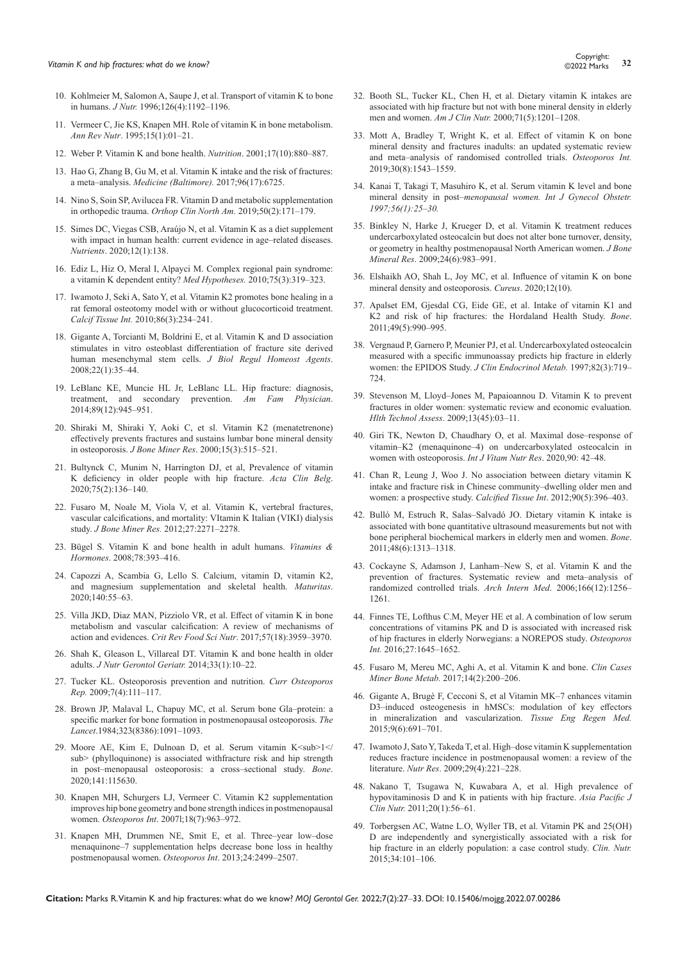- 10. [Kohlmeier M, Salomon A, Saupe J, et al. Transport of vitamin K to bone](https://pubmed.ncbi.nlm.nih.gov/8642455/)  in humans. *J Nutr.* [1996;126\(4\):1192–1196.](https://pubmed.ncbi.nlm.nih.gov/8642455/)
- 11. [Vermeer C, Jie KS, Knapen MH. Role of vitamin K in bone metabolism.](https://pubmed.ncbi.nlm.nih.gov/8527213/)  *Ann Rev Nutr*[. 1995;15\(1\):01–21.](https://pubmed.ncbi.nlm.nih.gov/8527213/)
- 12. [Weber P. Vitamin K and bone health.](https://pubmed.ncbi.nlm.nih.gov/11684396/) *Nutrition*. 2001;17(10):880–887.
- 13. [Hao G, Zhang B, Gu M, et al. Vitamin K intake and the risk of fractures:](https://pubmed.ncbi.nlm.nih.gov/28445289/)  a meta–analysis. *[Medicine \(Baltimore\).](https://pubmed.ncbi.nlm.nih.gov/28445289/)* 2017;96(17):6725.
- 14. [Nino S, Soin SP, Avilucea FR. Vitamin D and metabolic supplementation](https://pubmed.ncbi.nlm.nih.gov/30850076/)  in orthopedic trauma. *[Orthop Clin North Am.](https://pubmed.ncbi.nlm.nih.gov/30850076/)* 2019;50(2):171–179.
- 15. [Simes DC, Viegas CSB, Araújo N, et al. Vitamin K as a diet supplement](https://pubmed.ncbi.nlm.nih.gov/31947821/)  [with impact in human health: current evidence in age–related diseases.](https://pubmed.ncbi.nlm.nih.gov/31947821/)  *Nutrients*[. 2020;12\(1\):138.](https://pubmed.ncbi.nlm.nih.gov/31947821/)
- 16. [Ediz L, Hiz O, Meral I, Alpayci M. Complex regional pain syndrome:](https://in-booksc-eu.translate.goog/book/17102709/0951f7?_x_tr_sl=hi&_x_tr_tl=en&_x_tr_hl=en&_x_tr_pto=sc)  [a vitamin K dependent entity?](https://in-booksc-eu.translate.goog/book/17102709/0951f7?_x_tr_sl=hi&_x_tr_tl=en&_x_tr_hl=en&_x_tr_pto=sc) *Med Hypotheses.* 2010;75(3):319–323.
- 17. [Iwamoto J, Seki A, Sato Y, et al. Vitamin K2 promotes bone healing in a](https://keio.pure.elsevier.com/en/publications/vitamin-ksub2sub-promotes-bone-healing-in-a-rat-femoral-osteotomy)  [rat femoral osteotomy model with or without glucocorticoid treatment.](https://keio.pure.elsevier.com/en/publications/vitamin-ksub2sub-promotes-bone-healing-in-a-rat-femoral-osteotomy)  *Calcif Tissue Int.* [2010;86\(3\):234–241.](https://keio.pure.elsevier.com/en/publications/vitamin-ksub2sub-promotes-bone-healing-in-a-rat-femoral-osteotomy)
- 18. [Gigante A, Torcianti M, Boldrini E, et al. Vitamin K and D association](https://pubmed.ncbi.nlm.nih.gov/18394316/)  [stimulates in vitro osteoblast differentiation of fracture site derived](https://pubmed.ncbi.nlm.nih.gov/18394316/)  [human mesenchymal stem cells.](https://pubmed.ncbi.nlm.nih.gov/18394316/) *J Biol Regul Homeost Agents*. [2008;22\(1\):35–44.](https://pubmed.ncbi.nlm.nih.gov/18394316/)
- 19. [LeBlanc KE, Muncie HL Jr, LeBlanc LL. Hip fracture: diagnosis,](https://pubmed.ncbi.nlm.nih.gov/25162161/)  [treatment, and secondary prevention.](https://pubmed.ncbi.nlm.nih.gov/25162161/) *Am Fam Physician*. [2014;89\(12\):945–951.](https://pubmed.ncbi.nlm.nih.gov/25162161/)
- 20. [Shiraki M, Shiraki Y, Aoki C, et sl. Vitamin K2 \(menatetrenone\)](https://pubmed.ncbi.nlm.nih.gov/10750566/)  [effectively prevents fractures and sustains lumbar bone mineral density](https://pubmed.ncbi.nlm.nih.gov/10750566/)  in osteoporosis. *J Bone Miner Res*[. 2000;15\(3\):515–521.](https://pubmed.ncbi.nlm.nih.gov/10750566/)
- 21. [Bultynck C, Munim N, Harrington DJ, et al, Prevalence of vitamin](https://pubmed.ncbi.nlm.nih.gov/30618350/)  [K deficiency in older people with hip fracture.](https://pubmed.ncbi.nlm.nih.gov/30618350/) *Acta Clin Belg*. [2020;75\(2\):136–140.](https://pubmed.ncbi.nlm.nih.gov/30618350/)
- 22. [Fusaro M, Noale M, Viola V, et al. Vitamin K, vertebral fractures,](https://pubmed.ncbi.nlm.nih.gov/22692665/)  [vascular calcifications, and mortality: VItamin K Italian \(VIKI\) dialysis](https://pubmed.ncbi.nlm.nih.gov/22692665/)  study. *J Bone Miner Res.* [2012;27:2271–2278.](https://pubmed.ncbi.nlm.nih.gov/22692665/)
- 23. [Bügel S. Vitamin K and bone health in adult humans.](https://pubmed.ncbi.nlm.nih.gov/18374202/) *Vitamins & Hormones*[. 2008;78:393–416.](https://pubmed.ncbi.nlm.nih.gov/18374202/)
- 24. [Capozzi A, Scambia G, Lello S. Calcium, vitamin D, vitamin K2,](https://pubmed.ncbi.nlm.nih.gov/32972636/)  [and magnesium supplementation and skeletal health.](https://pubmed.ncbi.nlm.nih.gov/32972636/) *Maturitas*. [2020;140:55–63.](https://pubmed.ncbi.nlm.nih.gov/32972636/)
- 25. [Villa JKD, Diaz MAN, Pizziolo VR, et al. Effect of vitamin K in bone](https://pubmed.ncbi.nlm.nih.gov/27437760/)  [metabolism and vascular calcification: A review of mechanisms of](https://pubmed.ncbi.nlm.nih.gov/27437760/)  action and evidences. *Crit Rev Food Sci Nutr*[. 2017;57\(18\):3959–3970.](https://pubmed.ncbi.nlm.nih.gov/27437760/)
- 26. [Shah K, Gleason L, Villareal DT. Vitamin K and bone health in older](https://pubmed.ncbi.nlm.nih.gov/24597993/)  adults. *[J Nutr Gerontol Geriatr.](https://pubmed.ncbi.nlm.nih.gov/24597993/)* 2014;33(1):10–22.
- 27. [Tucker KL. Osteoporosis prevention and nutrition.](https://pubmed.ncbi.nlm.nih.gov/19968914/) *Curr Osteoporos Rep.* [2009;7\(4\):111–117.](https://pubmed.ncbi.nlm.nih.gov/19968914/)
- 28. [Brown JP, Malaval L, Chapuy MC, et al. Serum bone Gla–protein: a](https://pubmed.ncbi.nlm.nih.gov/6144827/)  [specific marker for bone formation in postmenopausal osteoporosis.](https://pubmed.ncbi.nlm.nih.gov/6144827/) *The Lancet*[.1984;323\(8386\):1091–1093.](https://pubmed.ncbi.nlm.nih.gov/6144827/)
- 29. Moore AE, Kim E, Dulnoan D, et al. Serum vitamin K<sub> $1$ </ [sub> \(phylloquinone\) is associated withfracture risk and hip strength](https://pubmed.ncbi.nlm.nih.gov/32919111/)  [in post–menopausal osteoporosis: a cross–sectional study.](https://pubmed.ncbi.nlm.nih.gov/32919111/) *Bone*. [2020;141:115630.](https://pubmed.ncbi.nlm.nih.gov/32919111/)
- 30. [Knapen MH, Schurgers LJ, Vermeer C. Vitamin K2 supplementation](https://pubmed.ncbi.nlm.nih.gov/17287908/)  [improves hip bone geometry and bone strength indices in postmenopausal](https://pubmed.ncbi.nlm.nih.gov/17287908/)  women. *Osteoporos Int*[. 2007l;18\(7\):963–972.](https://pubmed.ncbi.nlm.nih.gov/17287908/)
- 31. [Knapen MH, Drummen NE, Smit E, et al. Three–year low–dose](https://pubmed.ncbi.nlm.nih.gov/23525894/)  [menaquinone–7 supplementation helps decrease bone loss in healthy](https://pubmed.ncbi.nlm.nih.gov/23525894/)  [postmenopausal women.](https://pubmed.ncbi.nlm.nih.gov/23525894/) *Osteoporos Int*. 2013;24:2499–2507.
- 32. [Booth SL, Tucker KL, Chen H, et al. Dietary vitamin K intakes are](https://pubmed.ncbi.nlm.nih.gov/10799384/)  [associated with hip fracture but not with bone mineral density in elderly](https://pubmed.ncbi.nlm.nih.gov/10799384/)  men and women. *Am J Clin Nutr.* [2000;71\(5\):1201–1208.](https://pubmed.ncbi.nlm.nih.gov/10799384/)
- 33. [Mott A, Bradley T, Wright K, et al. Effect of vitamin K on bone](https://pubmed.ncbi.nlm.nih.gov/31076817/)  [mineral density and fractures inadults: an updated systematic review](https://pubmed.ncbi.nlm.nih.gov/31076817/)  [and meta–analysis of randomised controlled trials.](https://pubmed.ncbi.nlm.nih.gov/31076817/) *Osteoporos Int.* [2019;30\(8\):1543–1559.](https://pubmed.ncbi.nlm.nih.gov/31076817/)
- 34. [Kanai T, Takagi T, Masuhiro K, et al. Serum vitamin K level and bone](https://pubmed.ncbi.nlm.nih.gov/9049691/)  mineral density in post–*[menopausal women. Int J Gynecol Obstetr.](https://pubmed.ncbi.nlm.nih.gov/9049691/)  [1997;56\(1\):25–30.](https://pubmed.ncbi.nlm.nih.gov/9049691/)*
- 35. [Binkley N, Harke J, Krueger D, et al. Vitamin K treatment reduces](https://pubmed.ncbi.nlm.nih.gov/19113922/)  [undercarboxylated osteocalcin but does not alter bone turnover, density,](https://pubmed.ncbi.nlm.nih.gov/19113922/)  [or geometry in healthy postmenopausal North American women.](https://pubmed.ncbi.nlm.nih.gov/19113922/) *J Bone Mineral Res*[. 2009;24\(6\):983–991.](https://pubmed.ncbi.nlm.nih.gov/19113922/)
- 36. [Elshaikh AO, Shah L, Joy MC, et al. Influence of vitamin K on bone](https://pubmed.ncbi.nlm.nih.gov/33173624/)  [mineral density and osteoporosis.](https://pubmed.ncbi.nlm.nih.gov/33173624/) *Cureus*. 2020;12(10).
- 37. [Apalset EM, Gjesdal CG, Eide GE, et al. Intake of vitamin K1 and](https://pubmed.ncbi.nlm.nih.gov/21839190/)  [K2 and risk of hip fractures: the Hordaland Health Study.](https://pubmed.ncbi.nlm.nih.gov/21839190/) *Bone*. [2011;49\(5\):990–995.](https://pubmed.ncbi.nlm.nih.gov/21839190/)
- 38. [Vergnaud P, Garnero P, Meunier PJ, et al. Undercarboxylated osteocalcin](https://pubmed.ncbi.nlm.nih.gov/9062471/)  [measured with a specific immunoassay predicts hip fracture in elderly](https://pubmed.ncbi.nlm.nih.gov/9062471/)  [women: the EPIDOS Study.](https://pubmed.ncbi.nlm.nih.gov/9062471/) *J Clin Endocrinol Metab.* 1997;82(3):719– [724.](https://pubmed.ncbi.nlm.nih.gov/9062471/)
- 39. [Stevenson M, Lloyd–Jones M, Papaioannou D. Vitamin K to prevent](https://pubmed.ncbi.nlm.nih.gov/19818211/)  [fractures in older women: systematic review and economic evaluation.](https://pubmed.ncbi.nlm.nih.gov/19818211/)  *Hlth Technol Assess*[. 2009;13\(45\):03–11.](https://pubmed.ncbi.nlm.nih.gov/19818211/)
- 40. [Giri TK, Newton D, Chaudhary O, et al. Maximal dose–response of](https://pubmed.ncbi.nlm.nih.gov/30816822/)  [vitamin–K2 \(menaquinone–4\) on undercarboxylated osteocalcin in](https://pubmed.ncbi.nlm.nih.gov/30816822/)  [women with osteoporosis.](https://pubmed.ncbi.nlm.nih.gov/30816822/) *Int J Vitam Nutr Res*. 2020,90: 42–48.
- 41. [Chan R, Leung J, Woo J. No association between dietary vitamin K](https://pubmed.ncbi.nlm.nih.gov/22451220/)  [intake and fracture risk in Chinese community–dwelling older men and](https://pubmed.ncbi.nlm.nih.gov/22451220/)  [women: a prospective study.](https://pubmed.ncbi.nlm.nih.gov/22451220/) *Calcified Tissue Int*. 2012;90(5):396–403.
- 42. [Bulló M, Estruch R, Salas–Salvadó JO. Dietary vitamin K intake is](https://pubmed.ncbi.nlm.nih.gov/21447413/)  [associated with bone quantitative ultrasound measurements but not with](https://pubmed.ncbi.nlm.nih.gov/21447413/)  [bone peripheral biochemical markers in elderly men and women.](https://pubmed.ncbi.nlm.nih.gov/21447413/) *Bone*. [2011;48\(6\):1313–1318.](https://pubmed.ncbi.nlm.nih.gov/21447413/)
- 43. [Cockayne S, Adamson J, Lanham–New S, et al. Vitamin K and the](https://pubmed.ncbi.nlm.nih.gov/16801507/)  [prevention of fractures. Systematic review and meta–analysis of](https://pubmed.ncbi.nlm.nih.gov/16801507/)  [randomized controlled trials.](https://pubmed.ncbi.nlm.nih.gov/16801507/) *Arch Intern Med*. 2006;166(12):1256– [1261.](https://pubmed.ncbi.nlm.nih.gov/16801507/)
- 44. [Finnes TE, Lofthus C.M, Meyer HE et al. A combination of low serum](https://pubmed.ncbi.nlm.nih.gov/26630974/)  [concentrations of vitamins PK and D is associated with increased risk](https://pubmed.ncbi.nlm.nih.gov/26630974/)  [of hip fractures in elderly Norwegians: a NOREPOS study.](https://pubmed.ncbi.nlm.nih.gov/26630974/) *Osteoporos Int.* [2016;27:1645–1652.](https://pubmed.ncbi.nlm.nih.gov/26630974/)
- 45. [Fusaro M, Mereu MC, Aghi A, et al. Vitamin K and bone.](https://pubmed.ncbi.nlm.nih.gov/29263734/) *Clin Cases Miner Bone Metab.* [2017;14\(2\):200–206.](https://pubmed.ncbi.nlm.nih.gov/29263734/)
- 46. [Gigante A, Brugè F, Cecconi S, et al Vitamin MK–7 enhances vitamin](https://pubmed.ncbi.nlm.nih.gov/23109511/)  [D3–induced osteogenesis in hMSCs: modulation of key effectors](https://pubmed.ncbi.nlm.nih.gov/23109511/)  [in mineralization and vascularization.](https://pubmed.ncbi.nlm.nih.gov/23109511/) *Tissue Eng Regen Med.* [2015;9\(6\):691–701.](https://pubmed.ncbi.nlm.nih.gov/23109511/)
- 47. [Iwamoto J, Sato Y, Takeda T, et al. High–dose vitamin K supplementation](https://pubmed.ncbi.nlm.nih.gov/19410972/)  [reduces fracture incidence in postmenopausal women: a review of the](https://pubmed.ncbi.nlm.nih.gov/19410972/)  literature. *Nutr Res*[. 2009;29\(4\):221–228.](https://pubmed.ncbi.nlm.nih.gov/19410972/)
- 48. [Nakano T, Tsugawa N, Kuwabara A, et al. High prevalence of](https://pubmed.ncbi.nlm.nih.gov/21393111/)  [hypovitaminosis D and K in patients with hip fracture.](https://pubmed.ncbi.nlm.nih.gov/21393111/) *Asia Pacific J Clin Nutr.* [2011;20\(1\):56–61.](https://pubmed.ncbi.nlm.nih.gov/21393111/)
- 49. [Torbergsen AC, Watne L.O, Wyller TB, et al. Vitamin PK and 25\(OH\)](https://pubmed.ncbi.nlm.nih.gov/21393111/) [D are independently and synergistically associated with a risk for](https://pubmed.ncbi.nlm.nih.gov/21393111/)  [hip fracture in an elderly population: a case control study.](https://pubmed.ncbi.nlm.nih.gov/21393111/) *Clin. Nutr.* [2015;34:101–106.](https://pubmed.ncbi.nlm.nih.gov/21393111/)